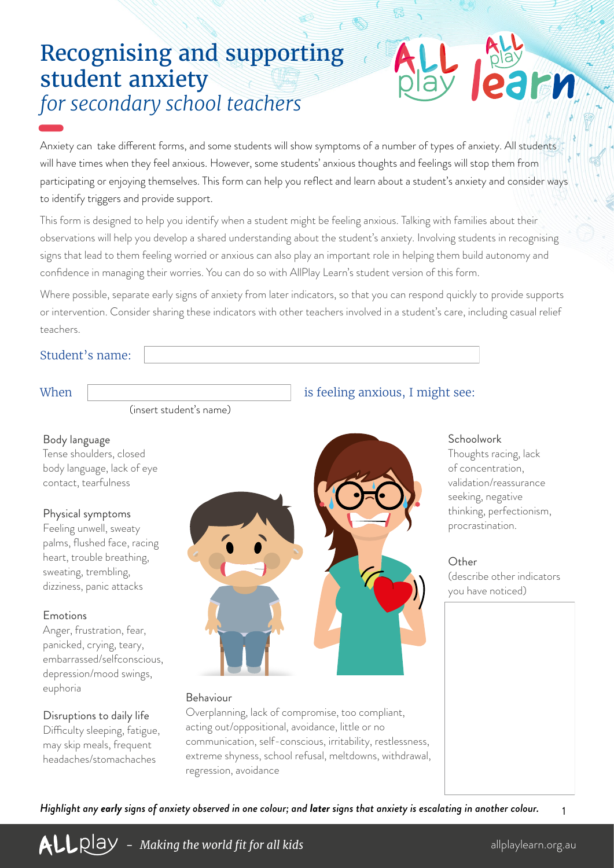# Recognising and supporting student anxiety *for secondary school teachers*

Anxiety can take different forms, and some students will show symptoms of a number of types of anxiety. All students will have times when they feel anxious. However, some students' anxious thoughts and feelings will stop them from participating or enjoying themselves. This form can help you reflect and learn about a student's anxiety and consider ways to identify triggers and provide support.

This form is designed to help you identify when a student might be feeling anxious. Talking with families about their observations will help you develop a shared understanding about the student's anxiety. Involving students in recognising signs that lead to them feeling worried or anxious can also play an important role in helping them build autonomy and confidence in managing their worries. You can do so with AllPlay Learn's student version of this form.

Where possible, separate early signs of anxiety from later indicators, so that you can respond quickly to provide supports or intervention. Consider sharing these indicators with other teachers involved in a student's care, including casual relief teachers.

### Student's name:

(insert student's name)

#### Body language

Tense shoulders, closed body language, lack of eye contact, tearfulness

#### Physical symptoms

Feeling unwell, sweaty palms, flushed face, racing heart, trouble breathing, sweating, trembling, dizziness, panic attacks

#### Emotions

Anger, frustration, fear, panicked, crying, teary, embarrassed/selfconscious, depression/mood swings, euphoria

#### Disruptions to daily life

Difficulty sleeping, fatigue, may skip meals, frequent headaches/stomachaches



#### Behaviour

Overplanning, lack of compromise, too compliant, acting out/oppositional, avoidance, little or no communication, self-conscious, irritability, restlessness, extreme shyness, school refusal, meltdowns, withdrawal, regression, avoidance

### When is feeling anxious, I might see:

#### **Schoolwork**

Thoughts racing, lack of concentration, validation/reassurance seeking, negative thinking, perfectionism, procrastination.

#### **Other**

(describe other indicators you have noticed)

*Highlight any early signs of anxiety observed in one colour; and later signs that anxiety is escalating in another colour.*

**ALL** Qlay - *Making the world fit for all kids* and all playlearn.org.au allplaylearn.org.au

1